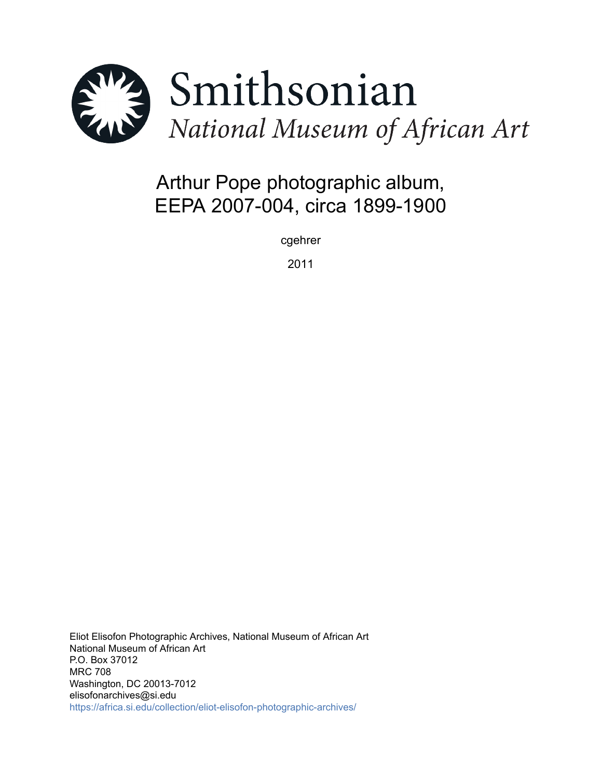

# Arthur Pope photographic album, EEPA 2007-004, circa 1899-1900

cgehrer

2011

Eliot Elisofon Photographic Archives, National Museum of African Art National Museum of African Art P.O. Box 37012 MRC 708 Washington, DC 20013-7012 elisofonarchives@si.edu <https://africa.si.edu/collection/eliot-elisofon-photographic-archives/>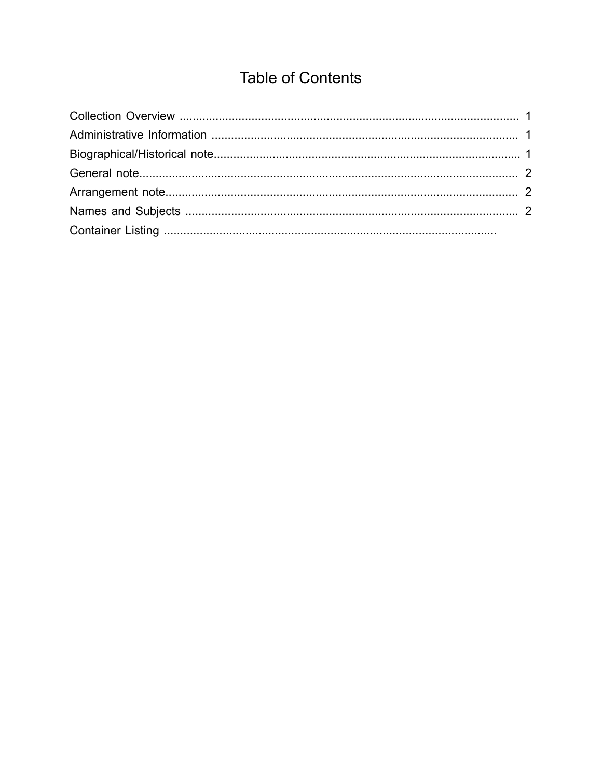## **Table of Contents**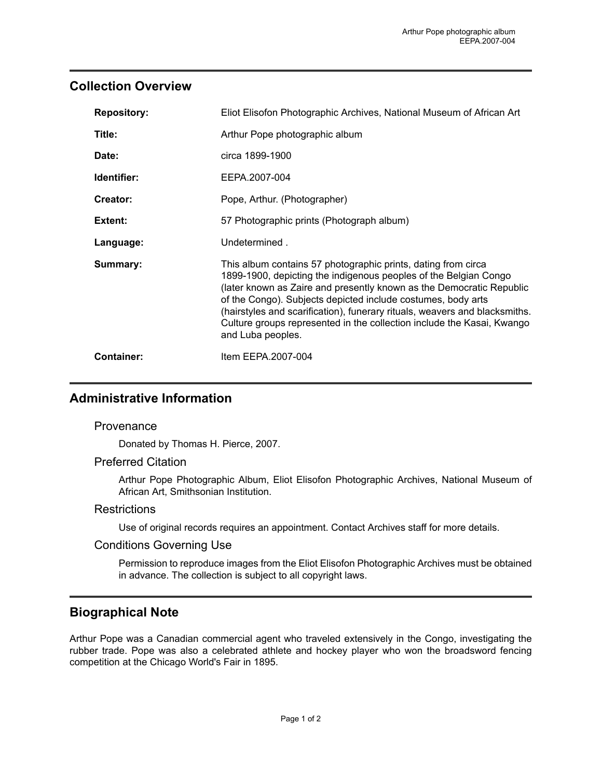## <span id="page-2-0"></span>**Collection Overview**

| <b>Repository:</b> | Eliot Elisofon Photographic Archives, National Museum of African Art                                                                                                                                                                                                                                                                                                                                                                                   |
|--------------------|--------------------------------------------------------------------------------------------------------------------------------------------------------------------------------------------------------------------------------------------------------------------------------------------------------------------------------------------------------------------------------------------------------------------------------------------------------|
| Title:             | Arthur Pope photographic album                                                                                                                                                                                                                                                                                                                                                                                                                         |
| Date:              | circa 1899-1900                                                                                                                                                                                                                                                                                                                                                                                                                                        |
| Identifier:        | EEPA.2007-004                                                                                                                                                                                                                                                                                                                                                                                                                                          |
| Creator:           | Pope, Arthur. (Photographer)                                                                                                                                                                                                                                                                                                                                                                                                                           |
| Extent:            | 57 Photographic prints (Photograph album)                                                                                                                                                                                                                                                                                                                                                                                                              |
| Language:          | Undetermined.                                                                                                                                                                                                                                                                                                                                                                                                                                          |
| Summary:           | This album contains 57 photographic prints, dating from circa<br>1899-1900, depicting the indigenous peoples of the Belgian Congo<br>(later known as Zaire and presently known as the Democratic Republic<br>of the Congo). Subjects depicted include costumes, body arts<br>(hairstyles and scarification), funerary rituals, weavers and blacksmiths.<br>Culture groups represented in the collection include the Kasai, Kwango<br>and Luba peoples. |
| <b>Container:</b>  | Item EEPA.2007-004                                                                                                                                                                                                                                                                                                                                                                                                                                     |

## <span id="page-2-1"></span>**Administrative Information**

#### **Provenance**

Donated by Thomas H. Pierce, 2007.

#### Preferred Citation

Arthur Pope Photographic Album, Eliot Elisofon Photographic Archives, National Museum of African Art, Smithsonian Institution.

#### **Restrictions**

Use of original records requires an appointment. Contact Archives staff for more details.

#### Conditions Governing Use

Permission to reproduce images from the Eliot Elisofon Photographic Archives must be obtained in advance. The collection is subject to all copyright laws.

## <span id="page-2-2"></span>**Biographical Note**

Arthur Pope was a Canadian commercial agent who traveled extensively in the Congo, investigating the rubber trade. Pope was also a celebrated athlete and hockey player who won the broadsword fencing competition at the Chicago World's Fair in 1895.